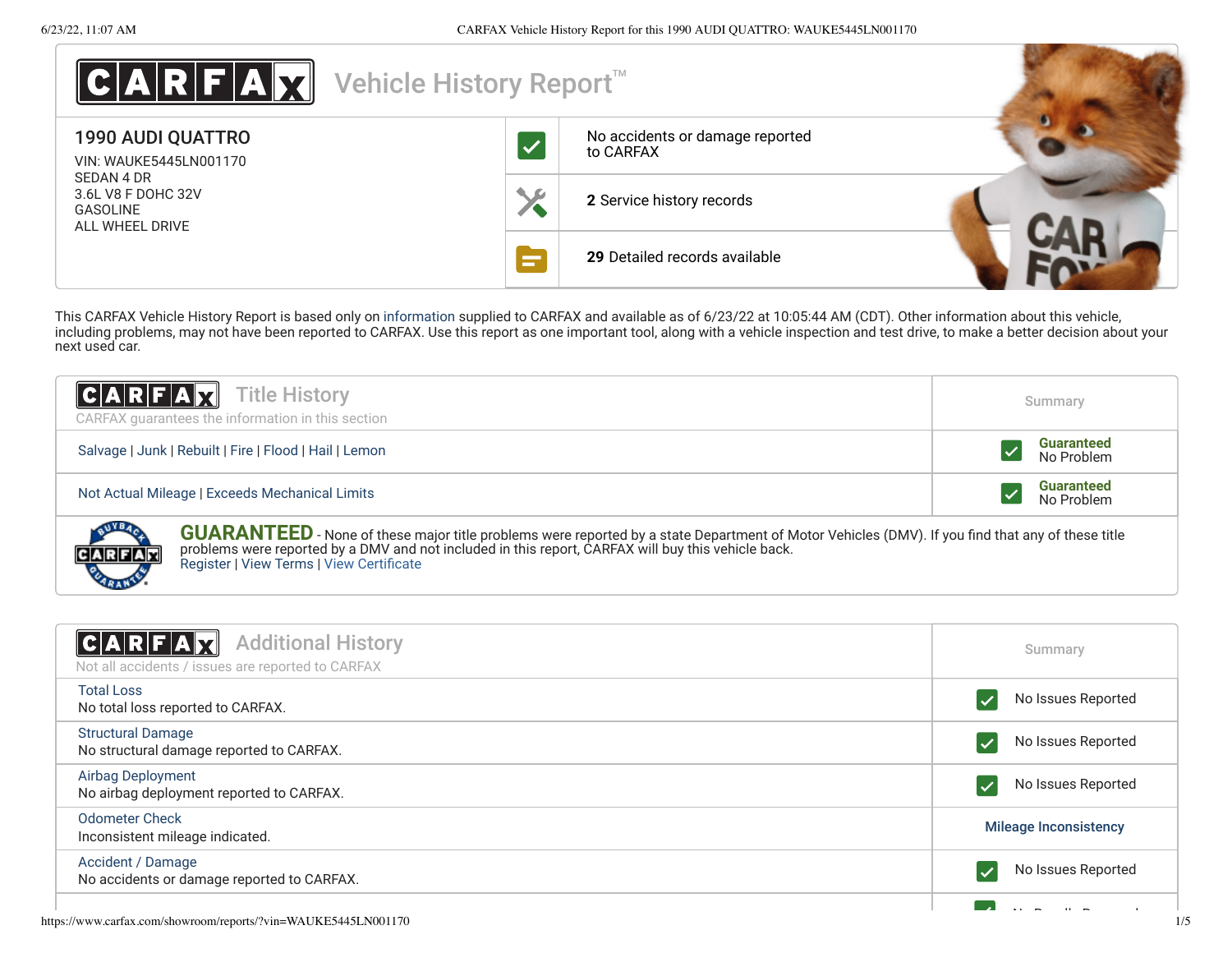**CARFAM** 

| C A R E A Y                                                            | Vehicle History Report <sup>™</sup> |                                              |  |
|------------------------------------------------------------------------|-------------------------------------|----------------------------------------------|--|
| <b>1990 AUDI QUATTRO</b><br>VIN: WAUKE5445LN001170                     |                                     | No accidents or damage reported<br>to CARFAX |  |
| SEDAN 4 DR<br>3.6L V8 F DOHC 32V<br><b>GASOLINE</b><br>ALL WHEEL DRIVE |                                     | 2 Service history records                    |  |
|                                                                        |                                     | 29 Detailed records available                |  |

This CARFAX Vehicle History Report is based only on [information](http://www.carfax.com/company/vhr-data-sources) supplied to CARFAX and available as of 6/23/22 at 10:05:44 AM (CDT). Other information about this vehicle, including problems, may not have been reported to CARFAX. Use this report as one important tool, along with a vehicle inspection and test drive, to make a better decision about your next used car.

| $ C A R F A \overline{X}$ Title History<br>CARFAX guarantees the information in this section                                                            | Summary                         |  |
|---------------------------------------------------------------------------------------------------------------------------------------------------------|---------------------------------|--|
| Salvage   Junk   Rebuilt   Fire   Flood   Hail   Lemon                                                                                                  | <b>Guaranteed</b><br>No Problem |  |
| Not Actual Mileage   Exceeds Mechanical Limits                                                                                                          | <b>Guaranteed</b><br>No Problem |  |
| <b>GUARANTEED</b> - None of these major title problems were reported by a state Department of Motor Vehicles (DMV). If you find that any of these title |                                 |  |



<span id="page-0-0"></span>

| <b>Additional History</b><br>C A R F A X<br>Not all accidents / issues are reported to CARFAX | Summary                      |
|-----------------------------------------------------------------------------------------------|------------------------------|
| <b>Total Loss</b><br>No total loss reported to CARFAX.                                        | No Issues Reported           |
| <b>Structural Damage</b><br>No structural damage reported to CARFAX.                          | No Issues Reported           |
| Airbag Deployment<br>No airbag deployment reported to CARFAX.                                 | No Issues Reported           |
| <b>Odometer Check</b><br>Inconsistent mileage indicated.                                      | <b>Mileage Inconsistency</b> |
| Accident / Damage<br>No accidents or damage reported to CARFAX.                               | No Issues Reported           |
| https://www.carfax.com/showroom/reports/?vin=WAUKE5445LN001170                                | 1/5                          |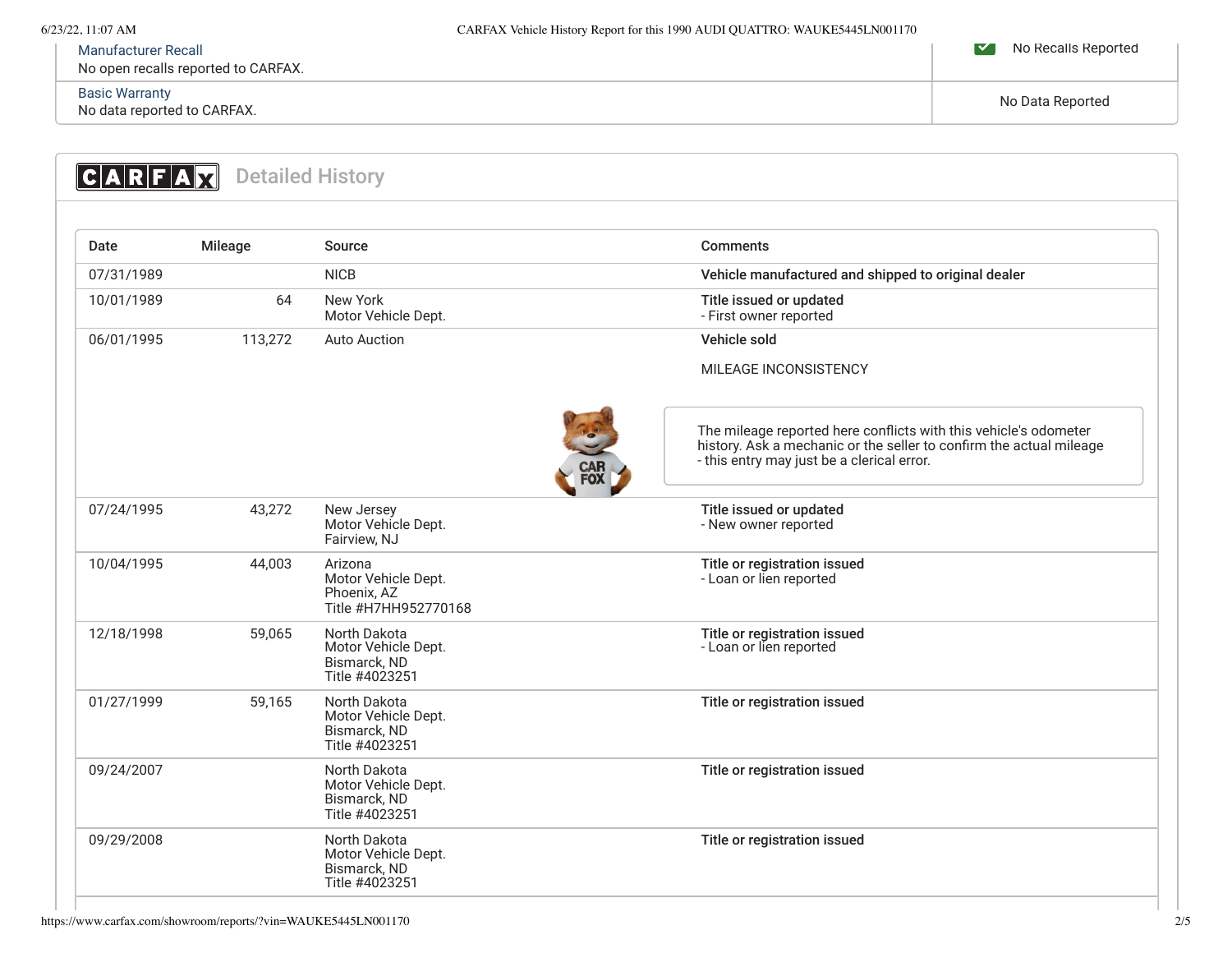# [Manufacturer Recall](https://www.carfax.com/showroom/reports/defManufacturerRecall)

No open recalls reported to CARFAX.

# [Basic Warranty](https://www.carfax.com/showroom/reports/defBasicWarranty)

Basic warranty<br>No data reported to CARFAX. No Data Reported to CARFAX.

No Recalls Reported

<span id="page-1-1"></span><span id="page-1-0"></span>

| Date       | Mileage | Source                                                                | <b>Comments</b>                                                                                                                                                                       |
|------------|---------|-----------------------------------------------------------------------|---------------------------------------------------------------------------------------------------------------------------------------------------------------------------------------|
| 07/31/1989 |         | <b>NICB</b>                                                           | Vehicle manufactured and shipped to original dealer                                                                                                                                   |
| 10/01/1989 | 64      | New York<br>Motor Vehicle Dept.                                       | Title issued or updated<br>- First owner reported                                                                                                                                     |
| 06/01/1995 | 113,272 | <b>Auto Auction</b>                                                   | Vehicle sold                                                                                                                                                                          |
|            |         |                                                                       | <b>MILEAGE INCONSISTENCY</b>                                                                                                                                                          |
|            |         |                                                                       | The mileage reported here conflicts with this vehicle's odometer<br>history. Ask a mechanic or the seller to confirm the actual mileage<br>- this entry may just be a clerical error. |
| 07/24/1995 | 43,272  | New Jersey<br>Motor Vehicle Dept.<br>Fairview, NJ                     | Title issued or updated<br>- New owner reported                                                                                                                                       |
| 10/04/1995 | 44,003  | Arizona<br>Motor Vehicle Dept.<br>Phoenix, AZ<br>Title #H7HH952770168 | Title or registration issued<br>- Loan or lien reported                                                                                                                               |
| 12/18/1998 | 59,065  | North Dakota<br>Motor Vehicle Dept.<br>Bismarck, ND<br>Title #4023251 | Title or registration issued<br>- Loan or lien reported                                                                                                                               |
| 01/27/1999 | 59,165  | North Dakota<br>Motor Vehicle Dept.<br>Bismarck, ND<br>Title #4023251 | Title or registration issued                                                                                                                                                          |
| 09/24/2007 |         | North Dakota<br>Motor Vehicle Dept.<br>Bismarck, ND<br>Title #4023251 | Title or registration issued                                                                                                                                                          |
| 09/29/2008 |         | North Dakota<br>Motor Vehicle Dept.<br>Bismarck, ND<br>Title #4023251 | Title or registration issued                                                                                                                                                          |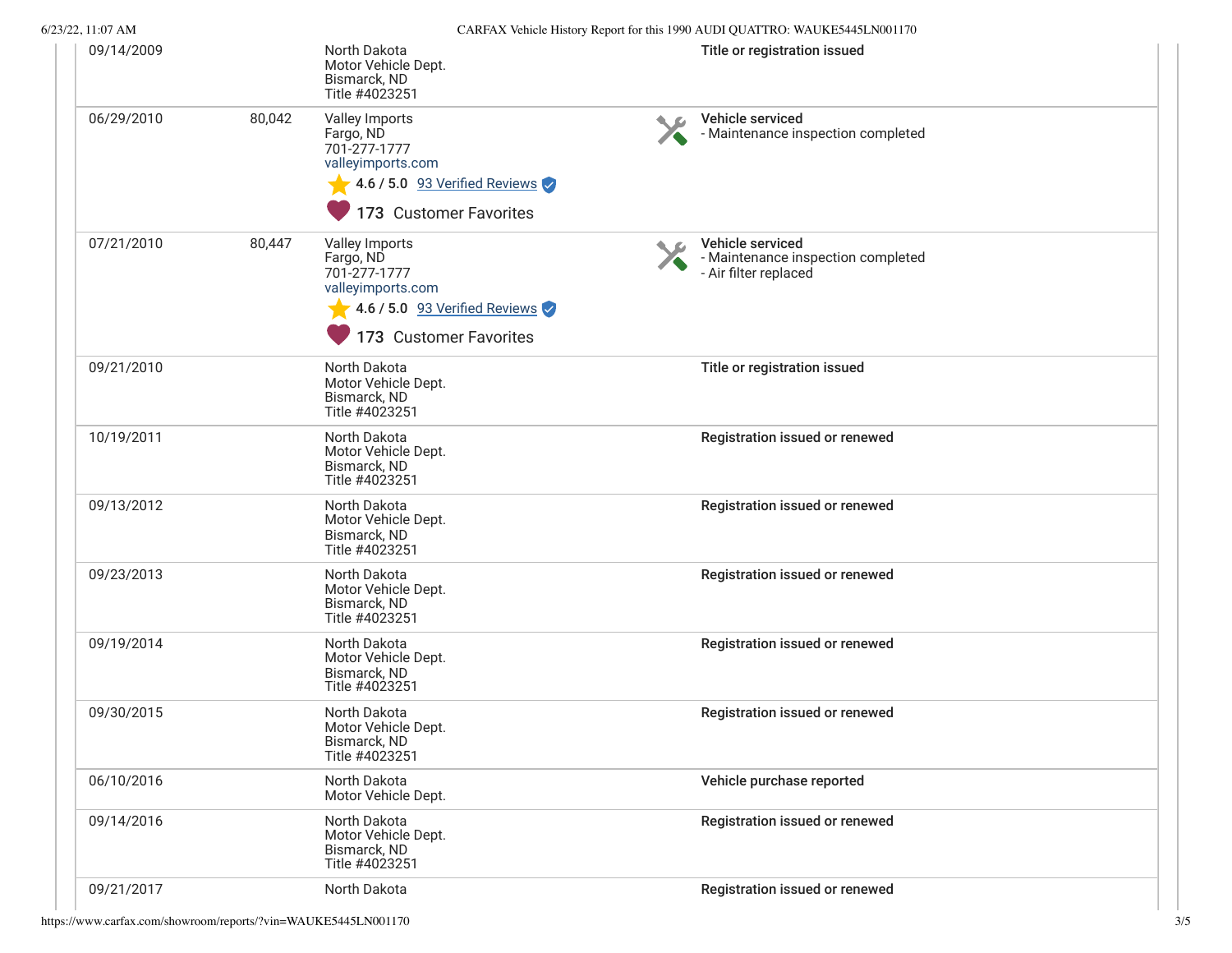| 6/23/22, 11:07 AM |        |                                                                                                          |    | CARFAX Vehicle History Report for this 1990 AUDI QUATTRO: WAUKE5445LN001170     |  |
|-------------------|--------|----------------------------------------------------------------------------------------------------------|----|---------------------------------------------------------------------------------|--|
| 09/14/2009        |        | North Dakota<br>Motor Vehicle Dept.<br>Bismarck, ND<br>Title #4023251                                    |    | Title or registration issued                                                    |  |
| 06/29/2010        | 80,042 | Valley Imports<br>Fargo, ND<br>701-277-1777<br>valleyimports.com                                         | ◥◬ | Vehicle serviced<br>- Maintenance inspection completed                          |  |
|                   |        | 4.6 / 5.0 93 Verified Reviews<br>173 Customer Favorites                                                  |    |                                                                                 |  |
| 07/21/2010        | 80,447 | Valley Imports<br>Fargo, ND<br>701-277-1777<br>valleyimports.com<br>$\sqrt{4.6/5.0}$ 93 Verified Reviews |    | Vehicle serviced<br>- Maintenance inspection completed<br>- Air filter replaced |  |
|                   |        | 173 Customer Favorites                                                                                   |    |                                                                                 |  |
| 09/21/2010        |        | North Dakota<br>Motor Vehicle Dept.<br>Bismarck, ND<br>Title #4023251                                    |    | Title or registration issued                                                    |  |
| 10/19/2011        |        | North Dakota<br>Motor Vehicle Dept.<br>Bismarck, ND<br>Title #4023251                                    |    | Registration issued or renewed                                                  |  |
| 09/13/2012        |        | North Dakota<br>Motor Vehicle Dept.<br>Bismarck, ND<br>Title #4023251                                    |    | Registration issued or renewed                                                  |  |
| 09/23/2013        |        | North Dakota<br>Motor Vehicle Dept.<br>Bismarck, ND<br>Title #4023251                                    |    | Registration issued or renewed                                                  |  |
| 09/19/2014        |        | North Dakota<br>Motor Vehicle Dept.<br>Bismarck, ND<br>Title #4023251                                    |    | Registration issued or renewed                                                  |  |
| 09/30/2015        |        | North Dakota<br>Motor Vehicle Dept.<br>Bismarck, ND<br>Title #4023251                                    |    | Registration issued or renewed                                                  |  |
| 06/10/2016        |        | North Dakota<br>Motor Vehicle Dept.                                                                      |    | Vehicle purchase reported                                                       |  |
| 09/14/2016        |        | North Dakota<br>Motor Vehicle Dept.<br>Bismarck, ND<br>Title #4023251                                    |    | Registration issued or renewed                                                  |  |
| 09/21/2017        |        | North Dakota                                                                                             |    | Registration issued or renewed                                                  |  |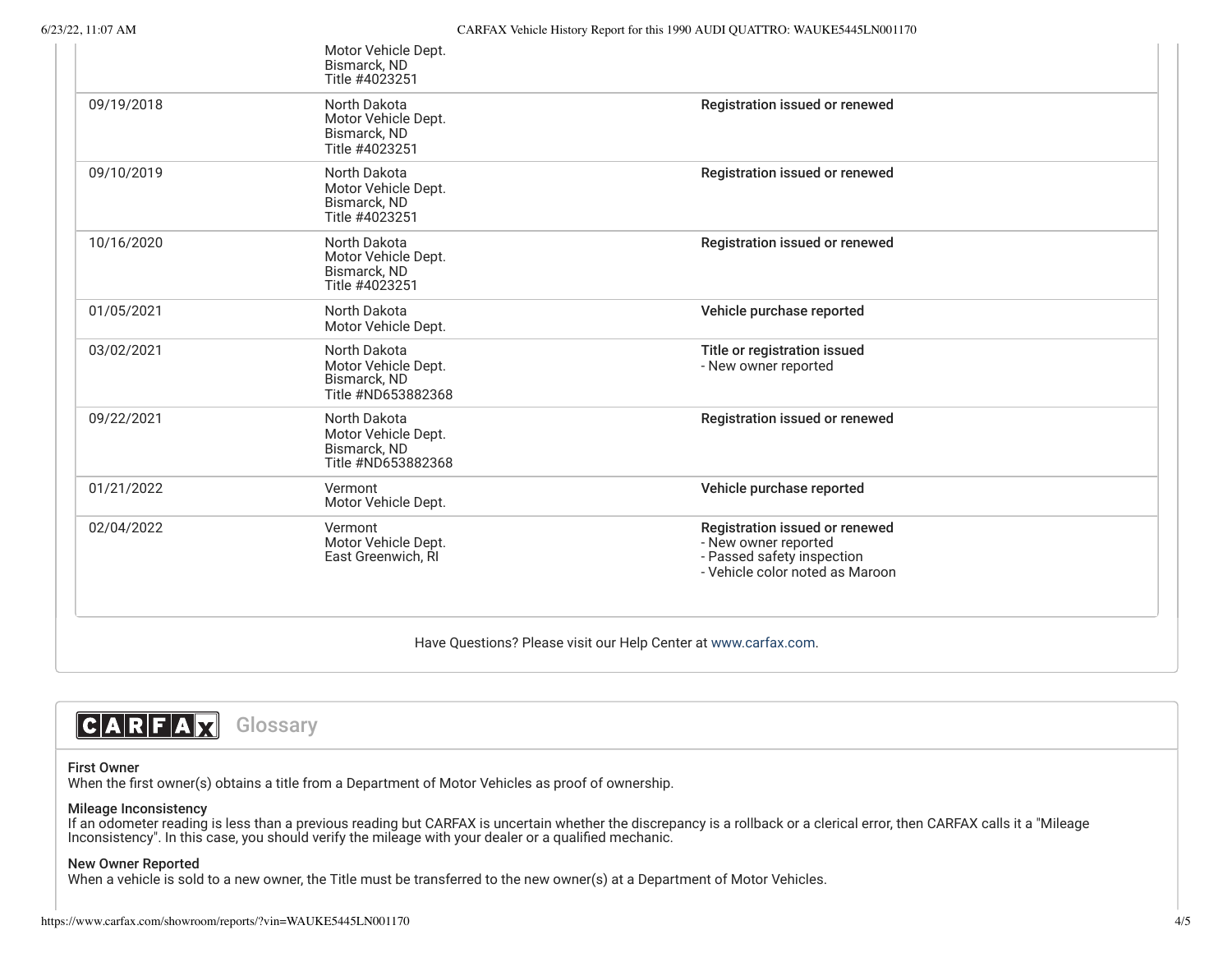|                                                                 | Motor Vehicle Dept.<br>Bismarck, ND<br>Title #4023251                     |                                                                                                                         |  |
|-----------------------------------------------------------------|---------------------------------------------------------------------------|-------------------------------------------------------------------------------------------------------------------------|--|
| 09/19/2018                                                      | North Dakota<br>Motor Vehicle Dept.<br>Bismarck, ND<br>Title #4023251     | Registration issued or renewed                                                                                          |  |
| 09/10/2019                                                      | North Dakota<br>Motor Vehicle Dept.<br>Bismarck, ND<br>Title #4023251     | Registration issued or renewed                                                                                          |  |
| 10/16/2020                                                      | North Dakota<br>Motor Vehicle Dept.<br>Bismarck, ND<br>Title #4023251     | Registration issued or renewed                                                                                          |  |
| 01/05/2021                                                      | North Dakota<br>Motor Vehicle Dept.                                       | Vehicle purchase reported                                                                                               |  |
| 03/02/2021                                                      | North Dakota<br>Motor Vehicle Dept.<br>Bismarck, ND<br>Title #ND653882368 | Title or registration issued<br>- New owner reported                                                                    |  |
| 09/22/2021                                                      | North Dakota<br>Motor Vehicle Dept.<br>Bismarck, ND<br>Title #ND653882368 | Registration issued or renewed                                                                                          |  |
| 01/21/2022                                                      | Vermont<br>Motor Vehicle Dept.                                            | Vehicle purchase reported                                                                                               |  |
| 02/04/2022                                                      | Vermont<br>Motor Vehicle Dept.<br>East Greenwich, RI                      | Registration issued or renewed<br>- New owner reported<br>- Passed safety inspection<br>- Vehicle color noted as Maroon |  |
| Have Questions? Please visit our Help Center at www.carfax.com. |                                                                           |                                                                                                                         |  |



## First Owner

When the first owner(s) obtains a title from a Department of Motor Vehicles as proof of ownership.

# Mileage Inconsistency

If an odometer reading is less than a previous reading but CARFAX is uncertain whether the discrepancy is a rollback or a clerical error, then CARFAX calls it a "Mileage Inconsistency". In this case, you should verify the mileage with your dealer or a qualified mechanic.

## New Owner Reported

When a vehicle is sold to a new owner, the Title must be transferred to the new owner(s) at a Department of Motor Vehicles.